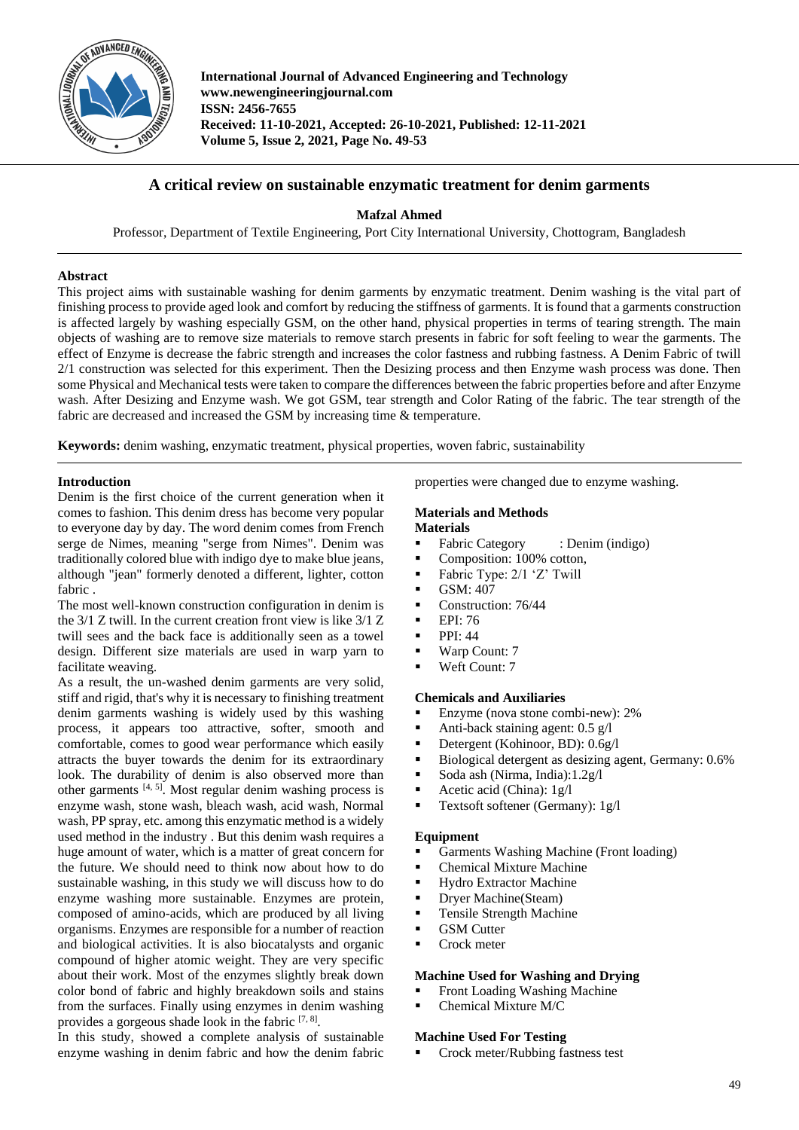

**International Journal of Advanced Engineering and Technology www.newengineeringjournal.com ISSN: 2456-7655 Received: 11-10-2021, Accepted: 26-10-2021, Published: 12-11-2021 Volume 5, Issue 2, 2021, Page No. 49-53**

# **A critical review on sustainable enzymatic treatment for denim garments**

**Mafzal Ahmed**

Professor, Department of Textile Engineering, Port City International University, Chottogram, Bangladesh

# **Abstract**

This project aims with sustainable washing for denim garments by enzymatic treatment. Denim washing is the vital part of finishing process to provide aged look and comfort by reducing the stiffness of garments. It is found that a garments construction is affected largely by washing especially GSM, on the other hand, physical properties in terms of tearing strength. The main objects of washing are to remove size materials to remove starch presents in fabric for soft feeling to wear the garments. The effect of Enzyme is decrease the fabric strength and increases the color fastness and rubbing fastness. A Denim Fabric of twill 2/1 construction was selected for this experiment. Then the Desizing process and then Enzyme wash process was done. Then some Physical and Mechanical tests were taken to compare the differences between the fabric properties before and after Enzyme wash. After Desizing and Enzyme wash. We got GSM, tear strength and Color Rating of the fabric. The tear strength of the fabric are decreased and increased the GSM by increasing time & temperature.

**Keywords:** denim washing, enzymatic treatment, physical properties, woven fabric, sustainability

## **Introduction**

Denim is the first choice of the current generation when it comes to fashion. This denim dress has become very popular to everyone day by day. The word denim comes from French serge de Nimes, meaning "serge from Nimes". Denim was traditionally colored blue with indigo dye to make blue jeans, although "jean" formerly denoted a different, lighter, cotton fabric .

The most well-known construction configuration in denim is the 3/1 Z twill. In the current creation front view is like 3/1 Z twill sees and the back face is additionally seen as a towel design. Different size materials are used in warp yarn to facilitate weaving.

As a result, the un-washed denim garments are very solid, stiff and rigid, that's why it is necessary to finishing treatment denim garments washing is widely used by this washing process, it appears too attractive, softer, smooth and comfortable, comes to good wear performance which easily attracts the buyer towards the denim for its extraordinary look. The durability of denim is also observed more than other garments  $[4, 5]$ . Most regular denim washing process is enzyme wash, stone wash, bleach wash, acid wash, Normal wash, PP spray, etc. among this enzymatic method is a widely used method in the industry . But this denim wash requires a huge amount of water, which is a matter of great concern for the future. We should need to think now about how to do sustainable washing, in this study we will discuss how to do enzyme washing more sustainable. Enzymes are protein, composed of amino-acids, which are produced by all living organisms. Enzymes are responsible for a number of reaction and biological activities. It is also biocatalysts and organic compound of higher atomic weight. They are very specific about their work. Most of the enzymes slightly break down color bond of fabric and highly breakdown soils and stains from the surfaces. Finally using enzymes in denim washing provides a gorgeous shade look in the fabric  $[7, 8]$ .

In this study, showed a complete analysis of sustainable enzyme washing in denim fabric and how the denim fabric properties were changed due to enzyme washing.

#### **Materials and Methods Materials**

- Fabric Category : Denim (indigo)
- Composition: 100% cotton,
- Fabric Type:  $2/1$  'Z' Twill
- $\overline{\phantom{0}}$  GSM: 407
- Construction: 76/44
- **EPI: 76**
- $\blacksquare$  PPI: 44
- Warp Count: 7
- Weft Count: 7

#### **Chemicals and Auxiliaries**

- Enzyme (nova stone combi-new): 2%
- Anti-back staining agent:  $0.5 \text{ g/l}$ <br>Detergent (Kohinoor BD):  $0.69$
- Detergent (Kohinoor, BD):  $0.6g/l$ <br>Biological detergent as desizing a
- Biological detergent as desizing agent, Germany:  $0.6\%$ <br>Soda ash (Nirma India):  $1.2\sigma/$
- Soda ash (Nirma, India):1.2g/l
- Acetic acid (China):  $1g/l$
- Textsoft softener (Germany): 1g/l

#### **Equipment**

- Garments Washing Machine (Front loading)
- Chemical Mixture Machine
- **Hydro Extractor Machine**
- Dryer Machine(Steam)
- **Tensile Strength Machine**
- **GSM** Cutter
- Crock meter

## **Machine Used for Washing and Drying**

- Front Loading Washing Machine
- Chemical Mixture M/C

## **Machine Used For Testing**

Crock meter/Rubbing fastness test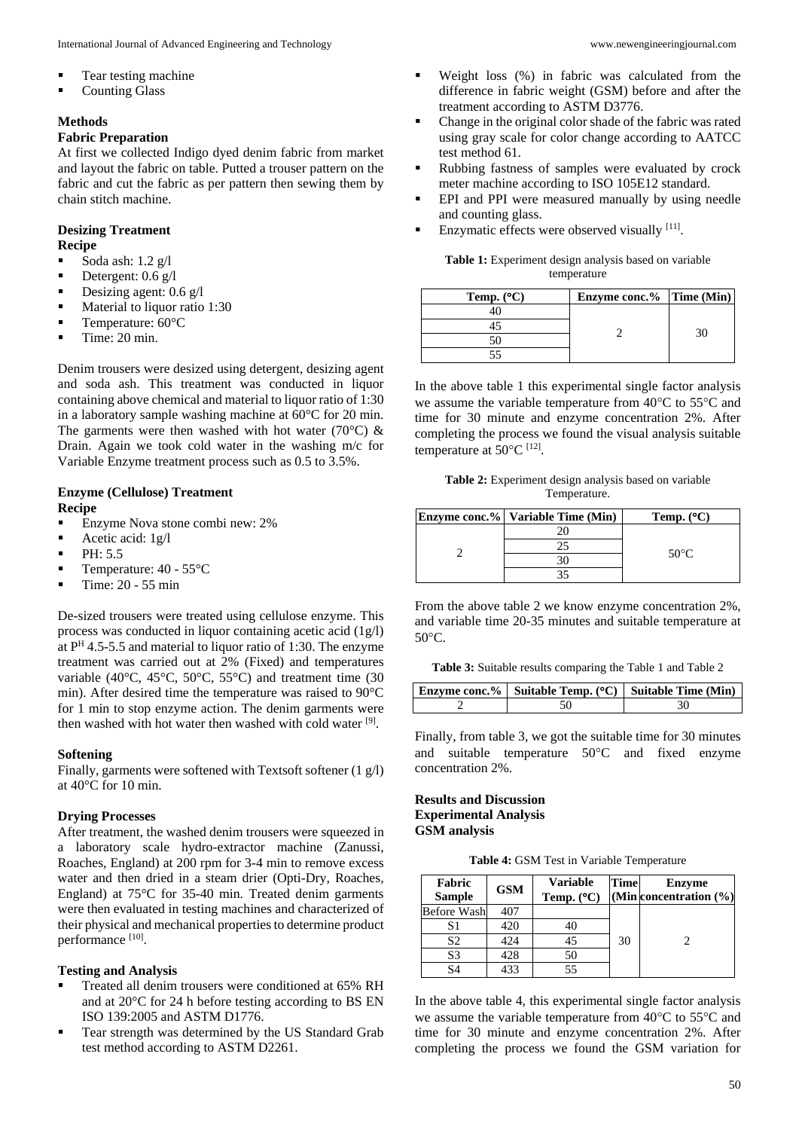- Tear testing machine
- Counting Glass

# **Methods**

### **Fabric Preparation**

At first we collected Indigo dyed denim fabric from market and layout the fabric on table. Putted a trouser pattern on the fabric and cut the fabric as per pattern then sewing them by chain stitch machine.

## **Desizing Treatment Recipe**

- Soda ash: 1.2 g/l
- Detergent:  $0.6 \text{ g/l}$
- Desizing agent:  $0.6 \text{ g/l}$
- **Material to liquor ratio 1:30**
- **Temperature:**  $60^{\circ}$ C
- $\blacksquare$  Time: 20 min.

Denim trousers were desized using detergent, desizing agent and soda ash. This treatment was conducted in liquor containing above chemical and material to liquor ratio of 1:30 in a laboratory sample washing machine at 60°C for 20 min. The garments were then washed with hot water (70 $^{\circ}$ C) & Drain. Again we took cold water in the washing m/c for Variable Enzyme treatment process such as 0.5 to 3.5%.

## **Enzyme (Cellulose) Treatment Recipe**

- Enzyme Nova stone combi new: 2%
- Acetic acid:  $1g/l$
- $P<sub>H</sub>: 5.5$
- **Temperature:**  $40 55^{\circ}$ C
- $\blacksquare$  Time: 20 55 min

De-sized trousers were treated using cellulose enzyme. This process was conducted in liquor containing acetic acid (1g/l) at P<sup>H</sup> 4.5-5.5 and material to liquor ratio of 1:30. The enzyme treatment was carried out at 2% (Fixed) and temperatures variable (40°C, 45°C, 50°C, 55°C) and treatment time (30 min). After desired time the temperature was raised to 90°C for 1 min to stop enzyme action. The denim garments were then washed with hot water then washed with cold water [9].

# **Softening**

Finally, garments were softened with Textsoft softener (1 g/l) at 40°C for 10 min.

#### **Drying Processes**

After treatment, the washed denim trousers were squeezed in a laboratory scale hydro-extractor machine (Zanussi, Roaches, England) at 200 rpm for 3-4 min to remove excess water and then dried in a steam drier (Opti-Dry, Roaches, England) at 75°C for 35-40 min. Treated denim garments were then evaluated in testing machines and characterized of their physical and mechanical properties to determine product performance [10].

#### **Testing and Analysis**

- Treated all denim trousers were conditioned at 65% RH and at 20°C for 24 h before testing according to BS EN ISO 139:2005 and ASTM D1776.
- **Tear strength was determined by the US Standard Grab** test method according to ASTM D2261.
- Weight loss (%) in fabric was calculated from the difference in fabric weight (GSM) before and after the treatment according to ASTM D3776.
- Change in the original color shade of the fabric was rated using gray scale for color change according to AATCC test method 61.
- Rubbing fastness of samples were evaluated by crock meter machine according to ISO 105E12 standard.
- EPI and PPI were measured manually by using needle and counting glass.
- **Enzymatic effects were observed visually** [11].

**Table 1:** Experiment design analysis based on variable temperature

| Temp. $(^{\circ}C)$ | Enzyme conc.% Time (Min) |  |
|---------------------|--------------------------|--|
|                     |                          |  |
|                     |                          |  |
|                     |                          |  |
|                     |                          |  |

In the above table 1 this experimental single factor analysis we assume the variable temperature from  $40^{\circ}$ C to  $55^{\circ}$ C and time for 30 minute and enzyme concentration 2%. After completing the process we found the visual analysis suitable temperature at  $50^{\circ}$ C<sup>[12]</sup>.

**Table 2:** Experiment design analysis based on variable Temperature.

|  | <b>Enzyme conc.%</b> Variable Time (Min) | Temp. $(^{\circ}C)$ |
|--|------------------------------------------|---------------------|
|  |                                          |                     |
|  |                                          |                     |
|  |                                          | 50 $\degree$ C      |
|  |                                          |                     |

From the above table 2 we know enzyme concentration 2%, and variable time 20-35 minutes and suitable temperature at  $50^{\circ}$ C.

**Table 3:** Suitable results comparing the Table 1 and Table 2

| Enzyme conc.%   Suitable Temp. ( $^{\circ}$ C)   Suitable Time (Min) |  |
|----------------------------------------------------------------------|--|
|                                                                      |  |

Finally, from table 3, we got the suitable time for 30 minutes and suitable temperature  $50^{\circ}$ C and fixed enzyme concentration 2%.

# **Results and Discussion Experimental Analysis GSM analysis**

**Table 4:** GSM Test in Variable Temperature

| Fabric<br><b>Sample</b> | <b>GSM</b> | <b>Variable</b><br>Temp. $(^{\circ}C)$ | Time | <b>Enzyme</b><br>(Min concentration (%) |
|-------------------------|------------|----------------------------------------|------|-----------------------------------------|
| <b>Before Wash</b>      | 407        |                                        |      |                                         |
| S1                      | 420        | 40                                     |      |                                         |
| S <sub>2</sub>          | 424        | 45                                     | 30   |                                         |
| S <sub>3</sub>          | 428        | 50                                     |      |                                         |
| S4                      | 433        | 55                                     |      |                                         |

In the above table 4, this experimental single factor analysis we assume the variable temperature from  $40^{\circ}$ C to  $55^{\circ}$ C and time for 30 minute and enzyme concentration 2%. After completing the process we found the GSM variation for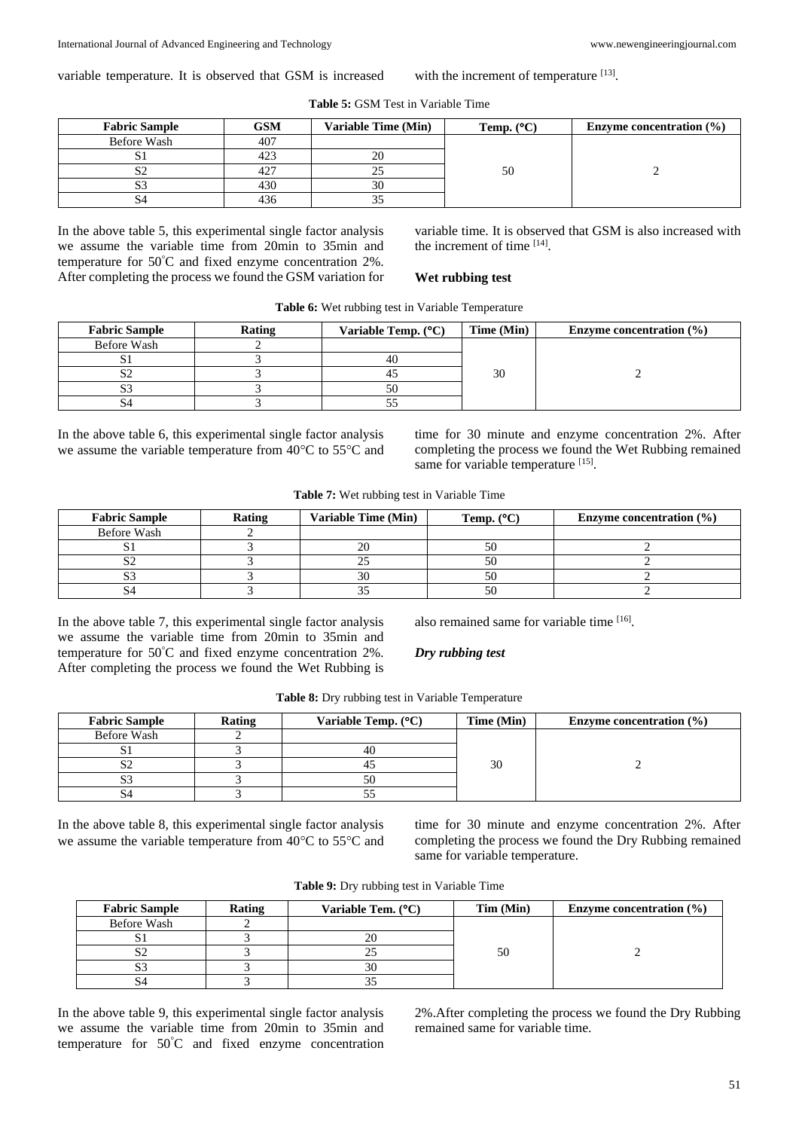variable temperature. It is observed that GSM is increased

# **Table 5:** GSM Test in Variable Time

with the increment of temperature [13].

| <b>Fabric Sample</b> | <b>GSM</b> | <b>Variable Time (Min)</b> | Temp. $(^{\circ}C)$ | Enzyme concentration $(\% )$ |
|----------------------|------------|----------------------------|---------------------|------------------------------|
| Before Wash          | 407        |                            |                     |                              |
| D.                   | 423        | 20                         |                     |                              |
| ◡                    | 427        |                            | 50                  |                              |
| <b>D</b> -           | 430        | 30                         |                     |                              |
|                      | 436        |                            |                     |                              |

In the above table 5, this experimental single factor analysis we assume the variable time from 20min to 35min and temperature for 50°C and fixed enzyme concentration 2%. After completing the process we found the GSM variation for variable time. It is observed that GSM is also increased with the increment of time [14] .

## **Wet rubbing test**

| <b>Fabric Sample</b> | Rating | Variable Temp. $(^{\circ}C)$ | Time (Min) | Enzyme concentration $(\% )$ |
|----------------------|--------|------------------------------|------------|------------------------------|
| Before Wash          |        |                              |            |                              |
|                      |        |                              |            |                              |
| ∠د                   |        |                              | 30         |                              |
|                      |        |                              |            |                              |
|                      |        |                              |            |                              |

**Table 6:** Wet rubbing test in Variable Temperature

In the above table 6, this experimental single factor analysis we assume the variable temperature from  $40^{\circ}$ C to  $55^{\circ}$ C and time for 30 minute and enzyme concentration 2%. After completing the process we found the Wet Rubbing remained same for variable temperature [15].

| Table 7: Wet rubbing test in Variable Time |  |
|--------------------------------------------|--|
|--------------------------------------------|--|

| <b>Fabric Sample</b> | <b>Rating</b> | Variable Time (Min)      | Temp. $(^{\circ}C)$ | Enzyme concentration $(\% )$ |
|----------------------|---------------|--------------------------|---------------------|------------------------------|
| Before Wash          |               |                          |                     |                              |
|                      |               |                          |                     |                              |
|                      |               |                          |                     |                              |
| ມມ                   |               | $\overline{\mathcal{D}}$ |                     |                              |
|                      |               |                          |                     |                              |

In the above table 7, this experimental single factor analysis we assume the variable time from 20min to 35min and temperature for 50°C and fixed enzyme concentration 2%. After completing the process we found the Wet Rubbing is also remained same for variable time [16].

# *Dry rubbing test*

| <b>Table 8:</b> Dry rubbing test in Variable Temperature |  |
|----------------------------------------------------------|--|
|----------------------------------------------------------|--|

| <b>Fabric Sample</b> | Rating | Variable Temp. $(^{\circ}C)$ | Time (Min) | Enzyme concentration $(\% )$ |
|----------------------|--------|------------------------------|------------|------------------------------|
| Before Wash          |        |                              |            |                              |
|                      |        | 40                           |            |                              |
|                      |        |                              | 30         |                              |
|                      |        |                              |            |                              |
|                      |        | ັ                            |            |                              |

In the above table 8, this experimental single factor analysis we assume the variable temperature from  $40^{\circ}$ C to  $55^{\circ}$ C and time for 30 minute and enzyme concentration 2%. After completing the process we found the Dry Rubbing remained same for variable temperature.

| <b>Fabric Sample</b> | Rating | Variable Tem. $(^{\circ}C)$ | Tim (Min) | Enzyme concentration $(\% )$ |
|----------------------|--------|-----------------------------|-----------|------------------------------|
| Before Wash          |        |                             |           |                              |
|                      |        |                             |           |                              |
|                      |        |                             | 50        |                              |
|                      |        | 30                          |           |                              |
|                      |        |                             |           |                              |

**Table 9:** Dry rubbing test in Variable Time

In the above table 9, this experimental single factor analysis we assume the variable time from 20min to 35min and temperature for 50°C and fixed enzyme concentration

2%.After completing the process we found the Dry Rubbing remained same for variable time.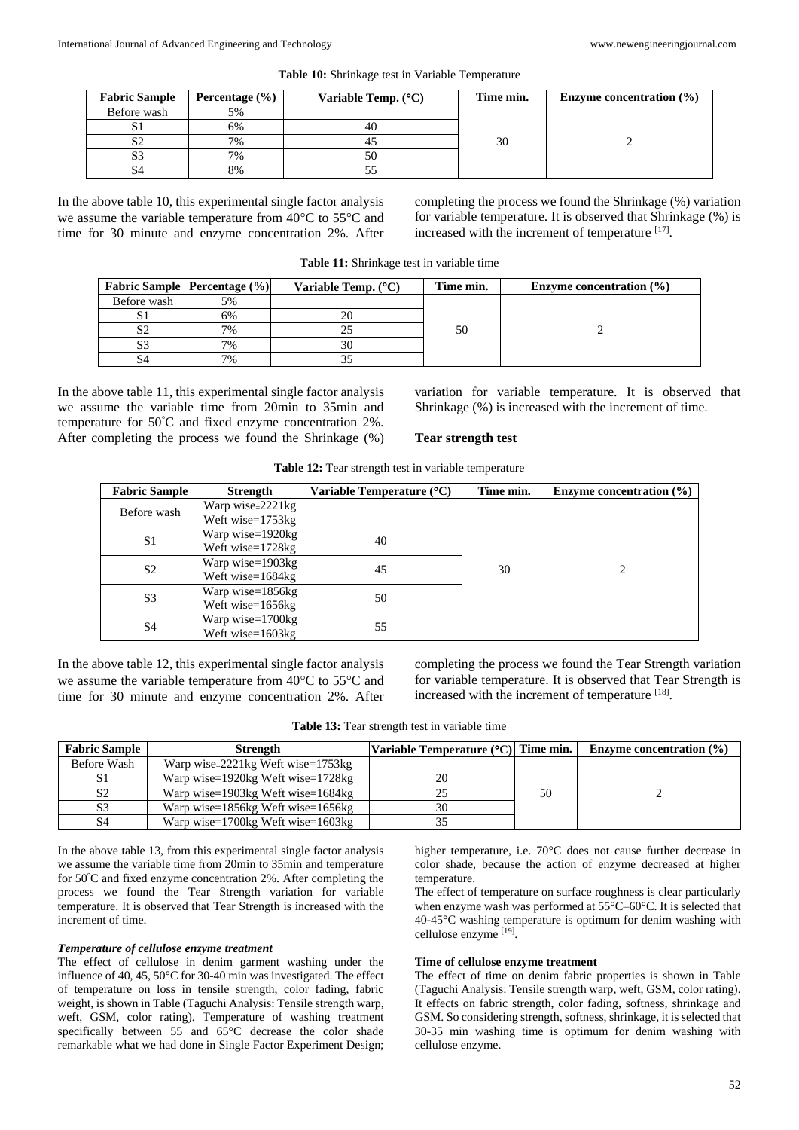| <b>Fabric Sample</b> | Percentage $(\% )$ | Variable Temp. $(^{\circ}C)$ | Time min. | Enzyme concentration $(\% )$ |
|----------------------|--------------------|------------------------------|-----------|------------------------------|
| Before wash          | 5%                 |                              |           |                              |
|                      | 6%                 |                              |           |                              |
|                      | 7%                 |                              | 30        |                              |
|                      | 7%                 |                              |           |                              |
|                      | 8%                 |                              |           |                              |

**Table 10:** Shrinkage test in Variable Temperature

In the above table 10, this experimental single factor analysis we assume the variable temperature from  $40^{\circ}$ C to  $55^{\circ}$ C and time for 30 minute and enzyme concentration 2%. After completing the process we found the Shrinkage (%) variation for variable temperature. It is observed that Shrinkage (%) is increased with the increment of temperature [17].

| Table 11: Shrinkage test in variable time |
|-------------------------------------------|
|-------------------------------------------|

|             | <b>Fabric Sample Percentage (%)</b> | Variable Temp. $(^{\circ}C)$ | Time min. | Enzyme concentration $(\% )$ |
|-------------|-------------------------------------|------------------------------|-----------|------------------------------|
| Before wash | 5%                                  |                              |           |                              |
| SΙ          | 6%                                  |                              |           |                              |
| S2          | 7%                                  |                              | 50        |                              |
| S3          | 7%                                  |                              |           |                              |
| S4          | 7%                                  |                              |           |                              |

In the above table 11, this experimental single factor analysis we assume the variable time from 20min to 35min and temperature for 50°C and fixed enzyme concentration 2%. After completing the process we found the Shrinkage (%) variation for variable temperature. It is observed that Shrinkage (%) is increased with the increment of time.

#### **Tear strength test**

| <b>Fabric Sample</b> | <b>Strength</b>     | Variable Temperature (°C) | Time min. | Enzyme concentration $(\% )$ |
|----------------------|---------------------|---------------------------|-----------|------------------------------|
| Before wash          | Warp wise= $2221kg$ |                           |           |                              |
|                      | Weft wise=1753kg    |                           |           |                              |
| S1                   | Warp wise=1920kg    | 40                        |           |                              |
|                      | Weft wise=1728kg    |                           | 30        |                              |
| S <sub>2</sub>       | Warp wise=1903kg    | 45                        |           |                              |
|                      | Weft wise= $1684kg$ |                           |           |                              |
| S <sub>3</sub>       | Warp wise=1856kg    | 50                        |           |                              |
|                      | Weft wise= $1656kg$ |                           |           |                              |
| S <sub>4</sub>       | Warp wise=1700kg    | 55                        |           |                              |
|                      | Weft wise= $1603kg$ |                           |           |                              |

**Table 12:** Tear strength test in variable temperature

In the above table 12, this experimental single factor analysis we assume the variable temperature from  $40^{\circ}$ C to  $55^{\circ}$ C and time for 30 minute and enzyme concentration 2%. After completing the process we found the Tear Strength variation for variable temperature. It is observed that Tear Strength is increased with the increment of temperature [18].

**Table 13:** Tear strength test in variable time

| <b>Fabric Sample</b> | Variable Temperature (°C) Time min.<br><b>Strength</b> |    |    | Enzyme concentration $(\% )$ |
|----------------------|--------------------------------------------------------|----|----|------------------------------|
| Before Wash          | Warp wise= $2221$ kg Weft wise= $1753$ kg              |    |    |                              |
|                      | Warp wise= $1920kg$ Weft wise= $1728kg$                |    |    |                              |
| S <sub>2</sub>       | Warp wise= $1903kg$ Weft wise= $1684kg$                |    | 50 |                              |
| S3                   | Warp wise= $1856kg$ Weft wise= $1656kg$                | 30 |    |                              |
| S4                   | Warp wise= $1700kg$ Weft wise= $1603kg$                |    |    |                              |

In the above table 13, from this experimental single factor analysis we assume the variable time from 20min to 35min and temperature for 50°C and fixed enzyme concentration 2%. After completing the process we found the Tear Strength variation for variable temperature. It is observed that Tear Strength is increased with the increment of time.

#### *Temperature of cellulose enzyme treatment*

The effect of cellulose in denim garment washing under the influence of 40, 45, 50°C for 30-40 min was investigated. The effect of temperature on loss in tensile strength, color fading, fabric weight, is shown in Table (Taguchi Analysis: Tensile strength warp, weft, GSM, color rating). Temperature of washing treatment specifically between 55 and 65°C decrease the color shade remarkable what we had done in Single Factor Experiment Design; higher temperature, i.e. 70°C does not cause further decrease in color shade, because the action of enzyme decreased at higher temperature.

The effect of temperature on surface roughness is clear particularly when enzyme wash was performed at 55°C–60°C. It is selected that 40-45°C washing temperature is optimum for denim washing with cellulose enzyme [19].

### **Time of cellulose enzyme treatment**

The effect of time on denim fabric properties is shown in Table (Taguchi Analysis: Tensile strength warp, weft, GSM, color rating). It effects on fabric strength, color fading, softness, shrinkage and GSM. So considering strength, softness, shrinkage, it is selected that 30-35 min washing time is optimum for denim washing with cellulose enzyme.